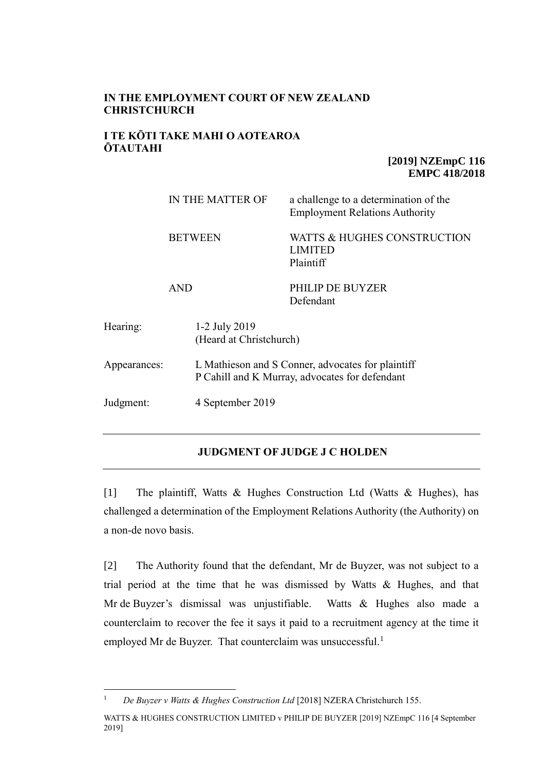### **IN THE EMPLOYMENT COURT OF NEW ZEALAND CHRISTCHURCH**

#### **I TE KŌTI TAKE MAHI O AOTEAROA ŌTAUTAHI**

#### **[2019] NZEmpC 116 EMPC 418/2018**

|              |                              | IN THE MATTER OF                                                                                    | a challenge to a determination of the<br><b>Employment Relations Authority</b> |  |
|--------------|------------------------------|-----------------------------------------------------------------------------------------------------|--------------------------------------------------------------------------------|--|
|              | <b>BETWEEN</b><br><b>AND</b> |                                                                                                     | WATTS & HUGHES CONSTRUCTION<br><b>LIMITED</b><br>Plaintiff                     |  |
|              |                              |                                                                                                     | PHILIP DE BUYZER<br>Defendant                                                  |  |
| Hearing:     |                              | 1-2 July 2019<br>(Heard at Christchurch)                                                            |                                                                                |  |
| Appearances: |                              | L Mathieson and S Conner, advocates for plaintiff<br>P Cahill and K Murray, advocates for defendant |                                                                                |  |
| Judgment:    |                              | 4 September 2019                                                                                    |                                                                                |  |

## **JUDGMENT OF JUDGE J C HOLDEN**

[1] The plaintiff, Watts & Hughes Construction Ltd (Watts & Hughes), has challenged a determination of the Employment Relations Authority (the Authority) on a non-de novo basis.

[2] The Authority found that the defendant, Mr de Buyzer, was not subject to a trial period at the time that he was dismissed by Watts  $\&$  Hughes, and that Mr de Buyzer's dismissal was unjustifiable. Watts & Hughes also made a counterclaim to recover the fee it says it paid to a recruitment agency at the time it employed Mr de Buyzer. That counterclaim was unsuccessful.<sup>1</sup>

 $\overline{a}$ <sup>1</sup> *De Buyzer v Watts & Hughes Construction Ltd* [2018] NZERA Christchurch 155.

WATTS & HUGHES CONSTRUCTION LIMITED v PHILIP DE BUYZER [2019] NZEmpC 116 [4 September 2019]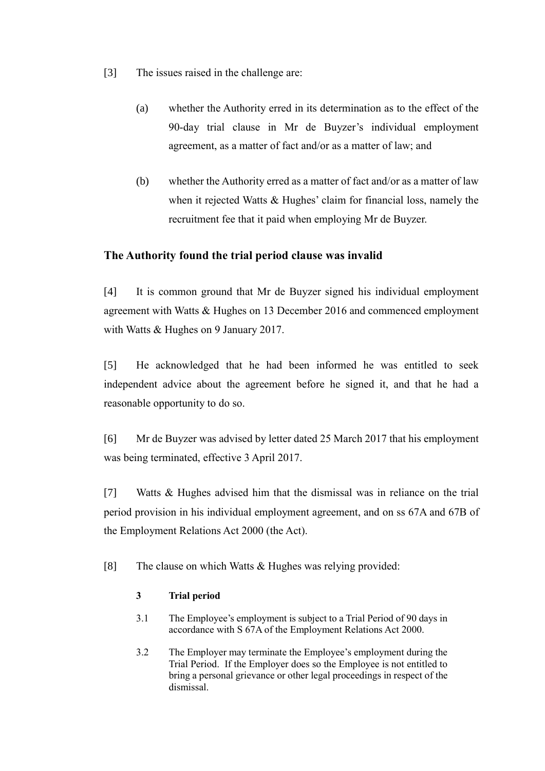- [3] The issues raised in the challenge are:
	- (a) whether the Authority erred in its determination as to the effect of the 90-day trial clause in Mr de Buyzer's individual employment agreement, as a matter of fact and/or as a matter of law; and
	- (b) whether the Authority erred as a matter of fact and/or as a matter of law when it rejected Watts & Hughes' claim for financial loss, namely the recruitment fee that it paid when employing Mr de Buyzer.

# **The Authority found the trial period clause was invalid**

[4] It is common ground that Mr de Buyzer signed his individual employment agreement with Watts & Hughes on 13 December 2016 and commenced employment with Watts & Hughes on 9 January 2017.

[5] He acknowledged that he had been informed he was entitled to seek independent advice about the agreement before he signed it, and that he had a reasonable opportunity to do so.

[6] Mr de Buyzer was advised by letter dated 25 March 2017 that his employment was being terminated, effective 3 April 2017.

[7] Watts & Hughes advised him that the dismissal was in reliance on the trial period provision in his individual employment agreement, and on ss 67A and 67B of the Employment Relations Act 2000 (the Act).

[8] The clause on which Watts  $&$  Hughes was relying provided:

## **3 Trial period**

- 3.1 The Employee's employment is subject to a Trial Period of 90 days in accordance with S 67A of the Employment Relations Act 2000.
- 3.2 The Employer may terminate the Employee's employment during the Trial Period. If the Employer does so the Employee is not entitled to bring a personal grievance or other legal proceedings in respect of the dismissal.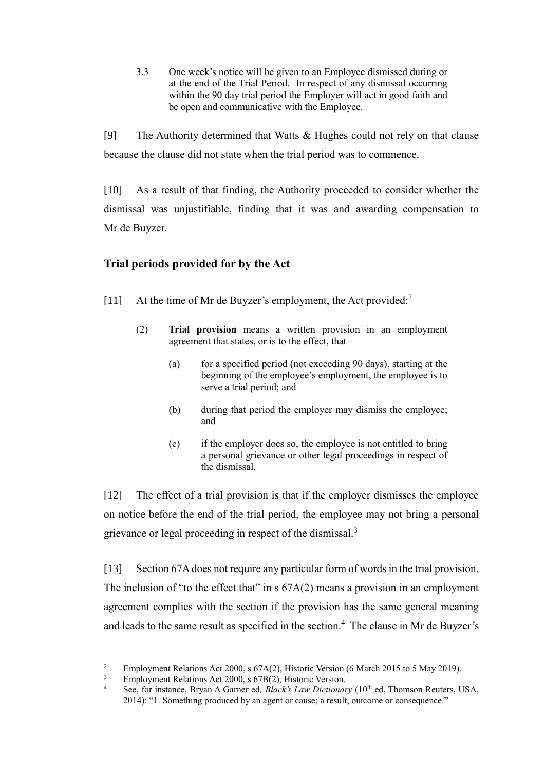3.3 One week's notice will be given to an Employee dismissed during or at the end of the Trial Period. In respect of any dismissal occurring within the 90 day trial period the Employer will act in good faith and be open and communicative with the Employee.

[9] The Authority determined that Watts & Hughes could not rely on that clause because the clause did not state when the trial period was to commence.

[10] As a result of that finding, the Authority proceeded to consider whether the dismissal was unjustifiable, finding that it was and awarding compensation to Mr de Buyzer.

# **Trial periods provided for by the Act**

- [11] At the time of Mr de Buyzer's employment, the Act provided:<sup>2</sup>
	- (2) **Trial provision** means a written provision in an employment agreement that states, or is to the effect, that–
		- (a) for a specified period (not exceeding 90 days), starting at the beginning of the employee's employment, the employee is to serve a trial period; and
		- (b) during that period the employer may dismiss the employee; and
		- (c) if the employer does so, the employee is not entitled to bring a personal grievance or other legal proceedings in respect of the dismissal.

[12] The effect of a trial provision is that if the employer dismisses the employee on notice before the end of the trial period, the employee may not bring a personal grievance or legal proceeding in respect of the dismissal.<sup>3</sup>

[13] Section 67A does not require any particular form of words in the trial provision. The inclusion of "to the effect that" in s  $67A(2)$  means a provision in an employment agreement complies with the section if the provision has the same general meaning and leads to the same result as specified in the section.<sup>4</sup> The clause in Mr de Buyzer's

 $\overline{a}$ 

<sup>&</sup>lt;sup>2</sup> Employment Relations Act 2000, s 67A(2), Historic Version (6 March 2015 to 5 May 2019).

<sup>&</sup>lt;sup>3</sup> Employment Relations Act 2000, s  $67B(2)$ , Historic Version.

See, for instance, Bryan A Garner ed, Black's Law Dictionary (10<sup>th</sup> ed, Thomson Reuters, USA, 2014): "1. Something produced by an agent or cause; a result, outcome or consequence."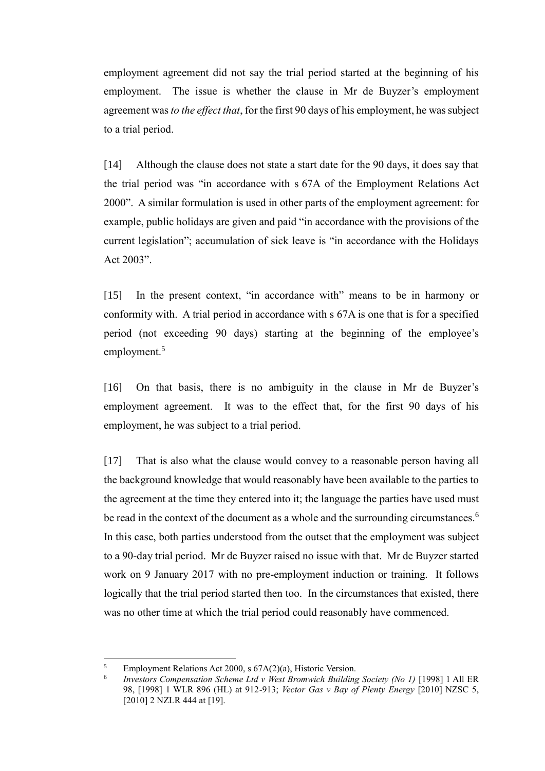employment agreement did not say the trial period started at the beginning of his employment. The issue is whether the clause in Mr de Buyzer's employment agreement was *to the effect that*, for the first 90 days of his employment, he was subject to a trial period.

[14] Although the clause does not state a start date for the 90 days, it does say that the trial period was "in accordance with s 67A of the Employment Relations Act 2000". A similar formulation is used in other parts of the employment agreement: for example, public holidays are given and paid "in accordance with the provisions of the current legislation"; accumulation of sick leave is "in accordance with the Holidays Act 2003".

[15] In the present context, "in accordance with" means to be in harmony or conformity with. A trial period in accordance with s 67A is one that is for a specified period (not exceeding 90 days) starting at the beginning of the employee's employment.<sup>5</sup>

[16] On that basis, there is no ambiguity in the clause in Mr de Buyzer's employment agreement. It was to the effect that, for the first 90 days of his employment, he was subject to a trial period.

[17] That is also what the clause would convey to a reasonable person having all the background knowledge that would reasonably have been available to the parties to the agreement at the time they entered into it; the language the parties have used must be read in the context of the document as a whole and the surrounding circumstances.<sup>6</sup> In this case, both parties understood from the outset that the employment was subject to a 90-day trial period. Mr de Buyzer raised no issue with that. Mr de Buyzer started work on 9 January 2017 with no pre-employment induction or training. It follows logically that the trial period started then too. In the circumstances that existed, there was no other time at which the trial period could reasonably have commenced.

 $\overline{a}$ 

<sup>5</sup> Employment Relations Act 2000, s 67A(2)(a), Historic Version.

<sup>6</sup> *Investors Compensation Scheme Ltd v West Bromwich Building Society (No 1)* [1998] 1 All ER 98, [1998] 1 WLR 896 (HL) at 912-913; *Vector Gas v Bay of Plenty Energy* [2010] NZSC 5, [2010] 2 NZLR 444 at [19].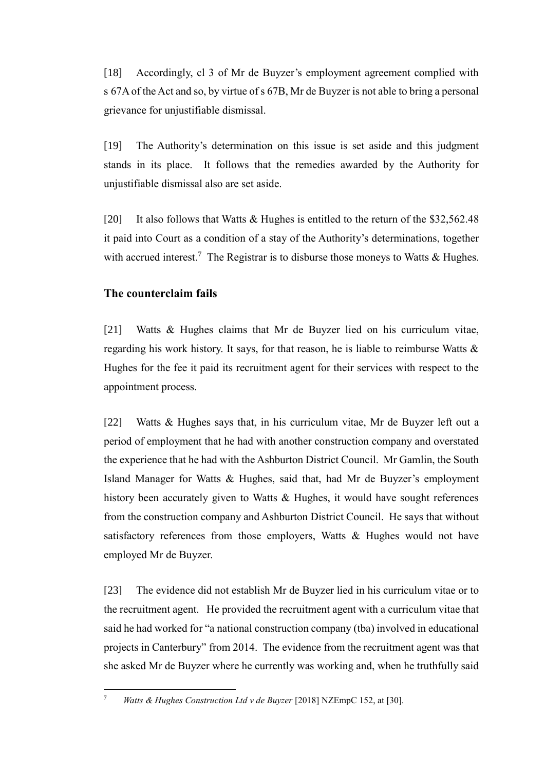[18] Accordingly, cl 3 of Mr de Buyzer's employment agreement complied with s 67A of the Act and so, by virtue of s 67B, Mr de Buyzer is not able to bring a personal grievance for unjustifiable dismissal.

[19] The Authority's determination on this issue is set aside and this judgment stands in its place. It follows that the remedies awarded by the Authority for unjustifiable dismissal also are set aside.

[20] It also follows that Watts & Hughes is entitled to the return of the \$32,562.48 it paid into Court as a condition of a stay of the Authority's determinations, together with accrued interest.<sup>7</sup> The Registrar is to disburse those moneys to Watts & Hughes.

## **The counterclaim fails**

[21] Watts & Hughes claims that Mr de Buyzer lied on his curriculum vitae, regarding his work history. It says, for that reason, he is liable to reimburse Watts & Hughes for the fee it paid its recruitment agent for their services with respect to the appointment process.

[22] Watts & Hughes says that, in his curriculum vitae, Mr de Buyzer left out a period of employment that he had with another construction company and overstated the experience that he had with the Ashburton District Council. Mr Gamlin, the South Island Manager for Watts & Hughes, said that, had Mr de Buyzer's employment history been accurately given to Watts & Hughes, it would have sought references from the construction company and Ashburton District Council. He says that without satisfactory references from those employers, Watts & Hughes would not have employed Mr de Buyzer.

[23] The evidence did not establish Mr de Buyzer lied in his curriculum vitae or to the recruitment agent. He provided the recruitment agent with a curriculum vitae that said he had worked for "a national construction company (tba) involved in educational projects in Canterbury" from 2014. The evidence from the recruitment agent was that she asked Mr de Buyzer where he currently was working and, when he truthfully said

 $\overline{a}$ 

<sup>7</sup> *Watts & Hughes Construction Ltd v de Buyzer* [2018] NZEmpC 152, at [30].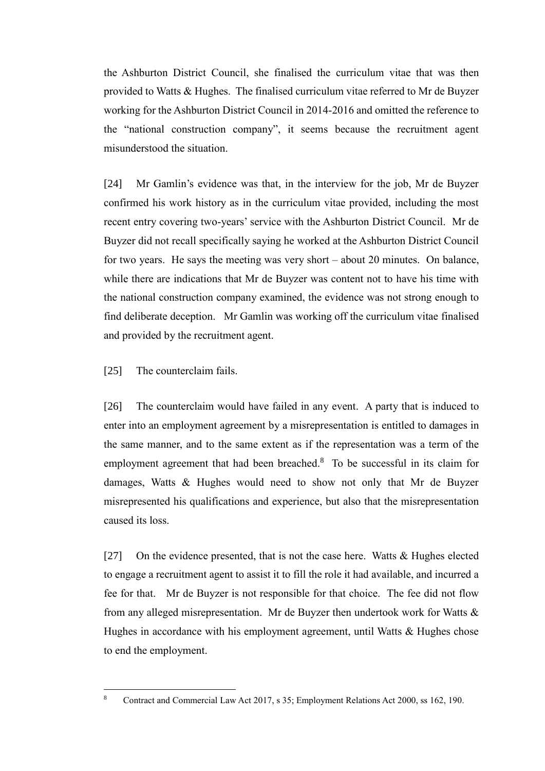the Ashburton District Council, she finalised the curriculum vitae that was then provided to Watts & Hughes. The finalised curriculum vitae referred to Mr de Buyzer working for the Ashburton District Council in 2014-2016 and omitted the reference to the "national construction company", it seems because the recruitment agent misunderstood the situation.

[24] Mr Gamlin's evidence was that, in the interview for the job, Mr de Buyzer confirmed his work history as in the curriculum vitae provided, including the most recent entry covering two-years' service with the Ashburton District Council. Mr de Buyzer did not recall specifically saying he worked at the Ashburton District Council for two years. He says the meeting was very short – about 20 minutes. On balance, while there are indications that Mr de Buyzer was content not to have his time with the national construction company examined, the evidence was not strong enough to find deliberate deception. Mr Gamlin was working off the curriculum vitae finalised and provided by the recruitment agent.

[25] The counterclaim fails.

 $\overline{a}$ 

[26] The counterclaim would have failed in any event. A party that is induced to enter into an employment agreement by a misrepresentation is entitled to damages in the same manner, and to the same extent as if the representation was a term of the employment agreement that had been breached.<sup>8</sup> To be successful in its claim for damages, Watts & Hughes would need to show not only that Mr de Buyzer misrepresented his qualifications and experience, but also that the misrepresentation caused its loss.

[27] On the evidence presented, that is not the case here. Watts & Hughes elected to engage a recruitment agent to assist it to fill the role it had available, and incurred a fee for that. Mr de Buyzer is not responsible for that choice. The fee did not flow from any alleged misrepresentation. Mr de Buyzer then undertook work for Watts & Hughes in accordance with his employment agreement, until Watts & Hughes chose to end the employment.

<sup>8</sup> Contract and Commercial Law Act 2017, s 35; Employment Relations Act 2000, ss 162, 190.